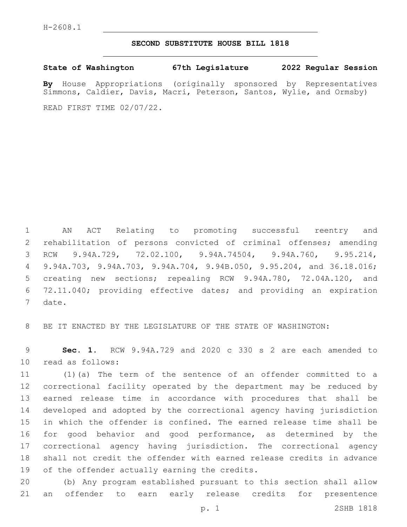## **SECOND SUBSTITUTE HOUSE BILL 1818**

**State of Washington 67th Legislature 2022 Regular Session**

**By** House Appropriations (originally sponsored by Representatives Simmons, Caldier, Davis, Macri, Peterson, Santos, Wylie, and Ormsby)

READ FIRST TIME 02/07/22.

 AN ACT Relating to promoting successful reentry and rehabilitation of persons convicted of criminal offenses; amending RCW 9.94A.729, 72.02.100, 9.94A.74504, 9.94A.760, 9.95.214, 9.94A.703, 9.94A.703, 9.94A.704, 9.94B.050, 9.95.204, and 36.18.016; creating new sections; repealing RCW 9.94A.780, 72.04A.120, and 72.11.040; providing effective dates; and providing an expiration 7 date.

BE IT ENACTED BY THE LEGISLATURE OF THE STATE OF WASHINGTON:

 **Sec. 1.** RCW 9.94A.729 and 2020 c 330 s 2 are each amended to 10 read as follows:

 (1)(a) The term of the sentence of an offender committed to a correctional facility operated by the department may be reduced by earned release time in accordance with procedures that shall be developed and adopted by the correctional agency having jurisdiction in which the offender is confined. The earned release time shall be for good behavior and good performance, as determined by the correctional agency having jurisdiction. The correctional agency shall not credit the offender with earned release credits in advance 19 of the offender actually earning the credits.

 (b) Any program established pursuant to this section shall allow an offender to earn early release credits for presentence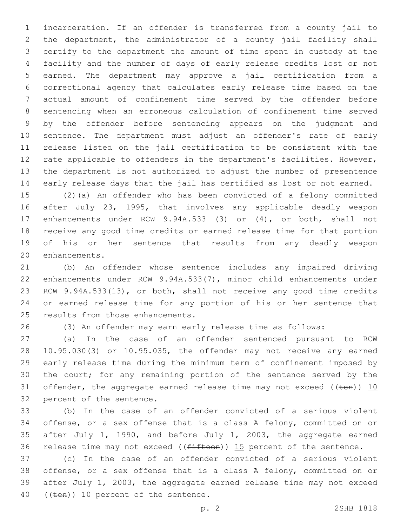incarceration. If an offender is transferred from a county jail to the department, the administrator of a county jail facility shall certify to the department the amount of time spent in custody at the facility and the number of days of early release credits lost or not earned. The department may approve a jail certification from a correctional agency that calculates early release time based on the actual amount of confinement time served by the offender before sentencing when an erroneous calculation of confinement time served by the offender before sentencing appears on the judgment and sentence. The department must adjust an offender's rate of early release listed on the jail certification to be consistent with the rate applicable to offenders in the department's facilities. However, the department is not authorized to adjust the number of presentence early release days that the jail has certified as lost or not earned.

 (2)(a) An offender who has been convicted of a felony committed after July 23, 1995, that involves any applicable deadly weapon enhancements under RCW 9.94A.533 (3) or (4), or both, shall not receive any good time credits or earned release time for that portion of his or her sentence that results from any deadly weapon 20 enhancements.

 (b) An offender whose sentence includes any impaired driving enhancements under RCW 9.94A.533(7), minor child enhancements under RCW 9.94A.533(13), or both, shall not receive any good time credits or earned release time for any portion of his or her sentence that 25 results from those enhancements.

(3) An offender may earn early release time as follows:

 (a) In the case of an offender sentenced pursuant to RCW 10.95.030(3) or 10.95.035, the offender may not receive any earned early release time during the minimum term of confinement imposed by the court; for any remaining portion of the sentence served by the 31 offender, the aggregate earned release time may not exceed ( $(\text{ten})$ ) 10 32 percent of the sentence.

 (b) In the case of an offender convicted of a serious violent offense, or a sex offense that is a class A felony, committed on or after July 1, 1990, and before July 1, 2003, the aggregate earned 36 release time may not exceed ( $(f\text{ifteen})$ ) 15 percent of the sentence.

 (c) In the case of an offender convicted of a serious violent offense, or a sex offense that is a class A felony, committed on or after July 1, 2003, the aggregate earned release time may not exceed 40 ((ten)) 10 percent of the sentence.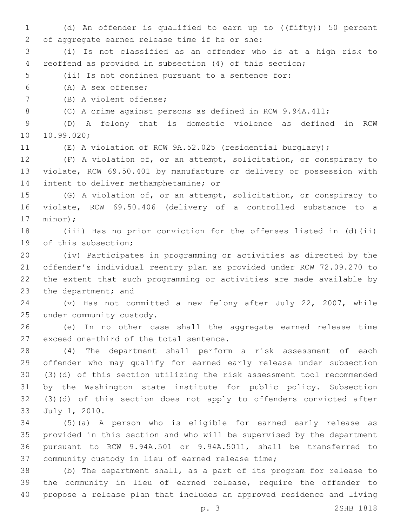1 (d) An offender is qualified to earn up to  $((f \text{iff } y))$  50 percent 2 of aggregate earned release time if he or she: (i) Is not classified as an offender who is at a high risk to reoffend as provided in subsection (4) of this section; (ii) Is not confined pursuant to a sentence for: (A) A sex offense;6 7 (B) A violent offense; (C) A crime against persons as defined in RCW 9.94A.411; (D) A felony that is domestic violence as defined in RCW 10.99.020; (E) A violation of RCW 9A.52.025 (residential burglary); (F) A violation of, or an attempt, solicitation, or conspiracy to violate, RCW 69.50.401 by manufacture or delivery or possession with 14 intent to deliver methamphetamine; or (G) A violation of, or an attempt, solicitation, or conspiracy to violate, RCW 69.50.406 (delivery of a controlled substance to a 17 minor); (iii) Has no prior conviction for the offenses listed in (d)(ii) 19 of this subsection; (iv) Participates in programming or activities as directed by the offender's individual reentry plan as provided under RCW 72.09.270 to the extent that such programming or activities are made available by 23 the department; and (v) Has not committed a new felony after July 22, 2007, while 25 under community custody. (e) In no other case shall the aggregate earned release time 27 exceed one-third of the total sentence. (4) The department shall perform a risk assessment of each offender who may qualify for earned early release under subsection (3)(d) of this section utilizing the risk assessment tool recommended by the Washington state institute for public policy. Subsection (3)(d) of this section does not apply to offenders convicted after 33 July 1, 2010. (5)(a) A person who is eligible for earned early release as provided in this section and who will be supervised by the department pursuant to RCW 9.94A.501 or 9.94A.5011, shall be transferred to 37 community custody in lieu of earned release time; (b) The department shall, as a part of its program for release to the community in lieu of earned release, require the offender to propose a release plan that includes an approved residence and living p. 3 2SHB 1818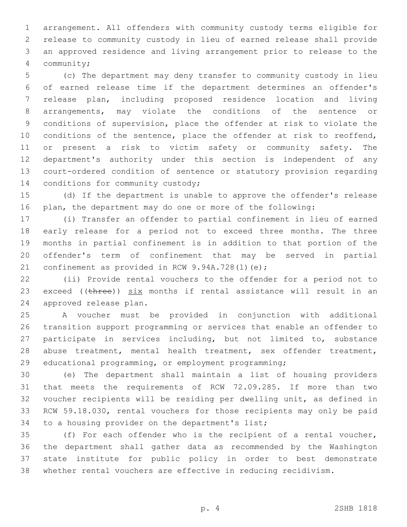arrangement. All offenders with community custody terms eligible for release to community custody in lieu of earned release shall provide an approved residence and living arrangement prior to release to the community;4

 (c) The department may deny transfer to community custody in lieu of earned release time if the department determines an offender's release plan, including proposed residence location and living arrangements, may violate the conditions of the sentence or conditions of supervision, place the offender at risk to violate the conditions of the sentence, place the offender at risk to reoffend, or present a risk to victim safety or community safety. The department's authority under this section is independent of any court-ordered condition of sentence or statutory provision regarding 14 conditions for community custody;

 (d) If the department is unable to approve the offender's release plan, the department may do one or more of the following:

 (i) Transfer an offender to partial confinement in lieu of earned early release for a period not to exceed three months. The three months in partial confinement is in addition to that portion of the offender's term of confinement that may be served in partial 21 confinement as provided in RCW  $9.94A.728(1)(e)$ ;

 (ii) Provide rental vouchers to the offender for a period not to 23 exceed (( $t$ hree))  $six$  months if rental assistance will result in an 24 approved release plan.

 A voucher must be provided in conjunction with additional transition support programming or services that enable an offender to participate in services including, but not limited to, substance abuse treatment, mental health treatment, sex offender treatment, educational programming, or employment programming;

 (e) The department shall maintain a list of housing providers that meets the requirements of RCW 72.09.285. If more than two voucher recipients will be residing per dwelling unit, as defined in RCW 59.18.030, rental vouchers for those recipients may only be paid 34 to a housing provider on the department's list;

 (f) For each offender who is the recipient of a rental voucher, the department shall gather data as recommended by the Washington state institute for public policy in order to best demonstrate whether rental vouchers are effective in reducing recidivism.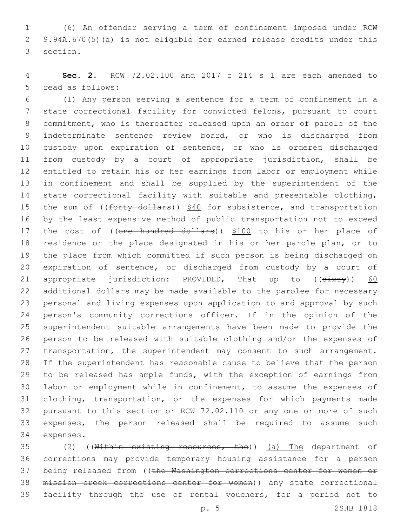(6) An offender serving a term of confinement imposed under RCW 9.94A.670(5)(a) is not eligible for earned release credits under this 3 section.

 **Sec. 2.** RCW 72.02.100 and 2017 c 214 s 1 are each amended to 5 read as follows:

 (1) Any person serving a sentence for a term of confinement in a state correctional facility for convicted felons, pursuant to court commitment, who is thereafter released upon an order of parole of the indeterminate sentence review board, or who is discharged from custody upon expiration of sentence, or who is ordered discharged from custody by a court of appropriate jurisdiction, shall be entitled to retain his or her earnings from labor or employment while in confinement and shall be supplied by the superintendent of the state correctional facility with suitable and presentable clothing, 15 the sum of ((forty dollars)) \$40 for subsistence, and transportation by the least expensive method of public transportation not to exceed 17 the cost of ((one hundred dollars)) \$100 to his or her place of residence or the place designated in his or her parole plan, or to the place from which committed if such person is being discharged on expiration of sentence, or discharged from custody by a court of 21 appropriate jurisdiction: PROVIDED, That up to  $((sixty))$  60 additional dollars may be made available to the parolee for necessary personal and living expenses upon application to and approval by such person's community corrections officer. If in the opinion of the superintendent suitable arrangements have been made to provide the person to be released with suitable clothing and/or the expenses of 27 transportation, the superintendent may consent to such arrangement. If the superintendent has reasonable cause to believe that the person to be released has ample funds, with the exception of earnings from labor or employment while in confinement, to assume the expenses of clothing, transportation, or the expenses for which payments made pursuant to this section or RCW 72.02.110 or any one or more of such expenses, the person released shall be required to assume such 34 expenses.

35 (2) ((Within existing resources, the)) (a) The department of corrections may provide temporary housing assistance for a person 37 being released from ((the Washington corrections center for women or mission creek corrections center for women)) any state correctional 39 facility through the use of rental vouchers, for a period not to

p. 5 2SHB 1818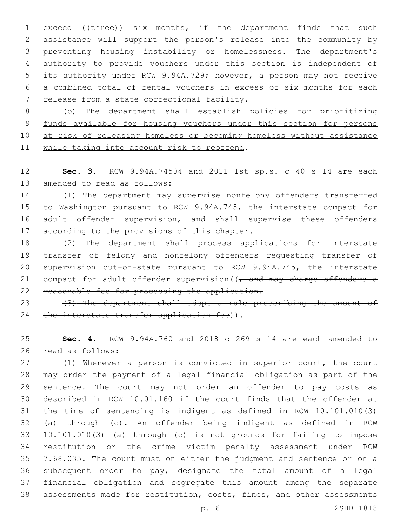1 exceed ((three)) six months, if the department finds that such 2 assistance will support the person's release into the community by preventing housing instability or homelessness. The department's authority to provide vouchers under this section is independent of 5 its authority under RCW 9.94A.729; however, a person may not receive a combined total of rental vouchers in excess of six months for each release from a state correctional facility.

 (b) The department shall establish policies for prioritizing funds available for housing vouchers under this section for persons 10 at risk of releasing homeless or becoming homeless without assistance 11 while taking into account risk to reoffend.

 **Sec. 3.** RCW 9.94A.74504 and 2011 1st sp.s. c 40 s 14 are each 13 amended to read as follows:

 (1) The department may supervise nonfelony offenders transferred to Washington pursuant to RCW 9.94A.745, the interstate compact for adult offender supervision, and shall supervise these offenders 17 according to the provisions of this chapter.

 (2) The department shall process applications for interstate transfer of felony and nonfelony offenders requesting transfer of supervision out-of-state pursuant to RCW 9.94A.745, the interstate 21 compact for adult offender supervision  $\left(\frac{1}{t}\right)$  and may charge offenders a reasonable fee for processing the application.

23  $(3)$  The department shall adopt a rule prescribing the amount of 24 the interstate transfer application fee)).

 **Sec. 4.** RCW 9.94A.760 and 2018 c 269 s 14 are each amended to 26 read as follows:

 (1) Whenever a person is convicted in superior court, the court may order the payment of a legal financial obligation as part of the sentence. The court may not order an offender to pay costs as described in RCW 10.01.160 if the court finds that the offender at the time of sentencing is indigent as defined in RCW 10.101.010(3) (a) through (c). An offender being indigent as defined in RCW 10.101.010(3) (a) through (c) is not grounds for failing to impose restitution or the crime victim penalty assessment under RCW 7.68.035. The court must on either the judgment and sentence or on a subsequent order to pay, designate the total amount of a legal financial obligation and segregate this amount among the separate assessments made for restitution, costs, fines, and other assessments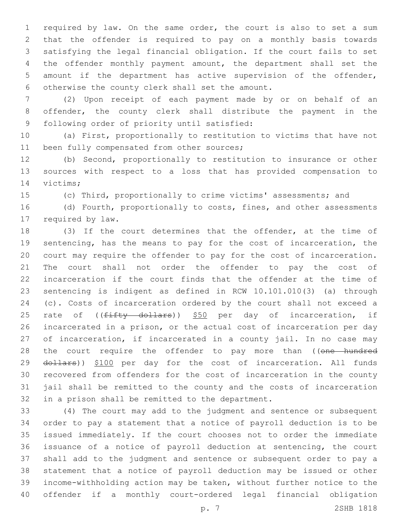required by law. On the same order, the court is also to set a sum that the offender is required to pay on a monthly basis towards satisfying the legal financial obligation. If the court fails to set the offender monthly payment amount, the department shall set the amount if the department has active supervision of the offender, 6 otherwise the county clerk shall set the amount.

 (2) Upon receipt of each payment made by or on behalf of an offender, the county clerk shall distribute the payment in the 9 following order of priority until satisfied:

 (a) First, proportionally to restitution to victims that have not 11 been fully compensated from other sources;

 (b) Second, proportionally to restitution to insurance or other sources with respect to a loss that has provided compensation to 14 victims;

(c) Third, proportionally to crime victims' assessments; and

16 (d) Fourth, proportionally to costs, fines, and other assessments 17 required by law.

 (3) If the court determines that the offender, at the time of sentencing, has the means to pay for the cost of incarceration, the court may require the offender to pay for the cost of incarceration. The court shall not order the offender to pay the cost of incarceration if the court finds that the offender at the time of sentencing is indigent as defined in RCW 10.101.010(3) (a) through (c). Costs of incarceration ordered by the court shall not exceed a 25 rate of ((fifty dollars)) \$50 per day of incarceration, if incarcerated in a prison, or the actual cost of incarceration per day 27 of incarceration, if incarcerated in a county jail. In no case may 28 the court require the offender to pay more than ((one hundred 29 dollars)) \$100 per day for the cost of incarceration. All funds recovered from offenders for the cost of incarceration in the county jail shall be remitted to the county and the costs of incarceration 32 in a prison shall be remitted to the department.

 (4) The court may add to the judgment and sentence or subsequent order to pay a statement that a notice of payroll deduction is to be issued immediately. If the court chooses not to order the immediate issuance of a notice of payroll deduction at sentencing, the court shall add to the judgment and sentence or subsequent order to pay a statement that a notice of payroll deduction may be issued or other income-withholding action may be taken, without further notice to the offender if a monthly court-ordered legal financial obligation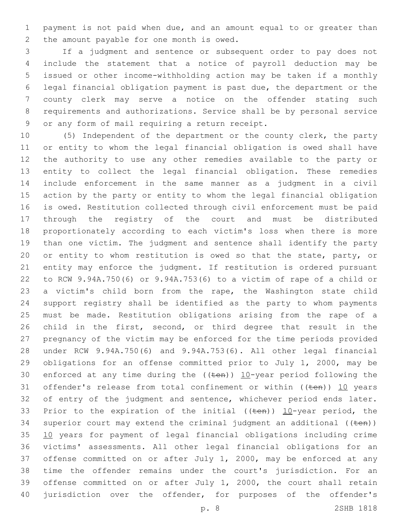payment is not paid when due, and an amount equal to or greater than 2 the amount payable for one month is owed.

 If a judgment and sentence or subsequent order to pay does not include the statement that a notice of payroll deduction may be issued or other income-withholding action may be taken if a monthly legal financial obligation payment is past due, the department or the county clerk may serve a notice on the offender stating such requirements and authorizations. Service shall be by personal service 9 or any form of mail requiring a return receipt.

 (5) Independent of the department or the county clerk, the party or entity to whom the legal financial obligation is owed shall have the authority to use any other remedies available to the party or entity to collect the legal financial obligation. These remedies include enforcement in the same manner as a judgment in a civil action by the party or entity to whom the legal financial obligation is owed. Restitution collected through civil enforcement must be paid through the registry of the court and must be distributed proportionately according to each victim's loss when there is more than one victim. The judgment and sentence shall identify the party 20 or entity to whom restitution is owed so that the state, party, or entity may enforce the judgment. If restitution is ordered pursuant to RCW 9.94A.750(6) or 9.94A.753(6) to a victim of rape of a child or a victim's child born from the rape, the Washington state child support registry shall be identified as the party to whom payments must be made. Restitution obligations arising from the rape of a child in the first, second, or third degree that result in the pregnancy of the victim may be enforced for the time periods provided under RCW 9.94A.750(6) and 9.94A.753(6). All other legal financial obligations for an offense committed prior to July 1, 2000, may be 30 enforced at any time during the  $((\text{ten}))$  10-year period following the 31 offender's release from total confinement or within  $((ten))$  10 years 32 of entry of the judgment and sentence, whichever period ends later. 33 Prior to the expiration of the initial (( $t$ en))  $10$ -year period, the 34 superior court may extend the criminal judgment an additional  $((\text{ten}))$  10 years for payment of legal financial obligations including crime victims' assessments. All other legal financial obligations for an offense committed on or after July 1, 2000, may be enforced at any time the offender remains under the court's jurisdiction. For an offense committed on or after July 1, 2000, the court shall retain 40 jurisdiction over the offender, for purposes of the offender's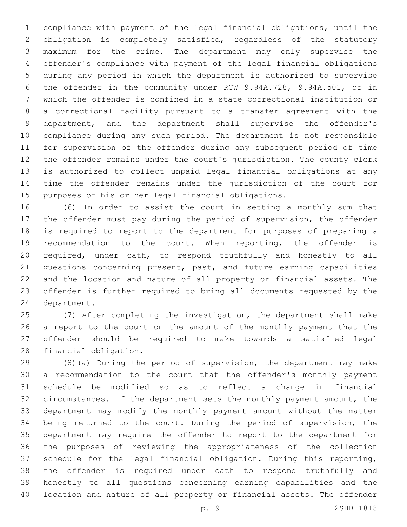compliance with payment of the legal financial obligations, until the obligation is completely satisfied, regardless of the statutory maximum for the crime. The department may only supervise the offender's compliance with payment of the legal financial obligations during any period in which the department is authorized to supervise the offender in the community under RCW 9.94A.728, 9.94A.501, or in which the offender is confined in a state correctional institution or a correctional facility pursuant to a transfer agreement with the department, and the department shall supervise the offender's compliance during any such period. The department is not responsible for supervision of the offender during any subsequent period of time the offender remains under the court's jurisdiction. The county clerk is authorized to collect unpaid legal financial obligations at any time the offender remains under the jurisdiction of the court for purposes of his or her legal financial obligations.

 (6) In order to assist the court in setting a monthly sum that the offender must pay during the period of supervision, the offender is required to report to the department for purposes of preparing a recommendation to the court. When reporting, the offender is required, under oath, to respond truthfully and honestly to all questions concerning present, past, and future earning capabilities and the location and nature of all property or financial assets. The offender is further required to bring all documents requested by the 24 department.

 (7) After completing the investigation, the department shall make a report to the court on the amount of the monthly payment that the offender should be required to make towards a satisfied legal 28 financial obligation.

 (8)(a) During the period of supervision, the department may make a recommendation to the court that the offender's monthly payment schedule be modified so as to reflect a change in financial circumstances. If the department sets the monthly payment amount, the department may modify the monthly payment amount without the matter being returned to the court. During the period of supervision, the department may require the offender to report to the department for the purposes of reviewing the appropriateness of the collection schedule for the legal financial obligation. During this reporting, the offender is required under oath to respond truthfully and honestly to all questions concerning earning capabilities and the location and nature of all property or financial assets. The offender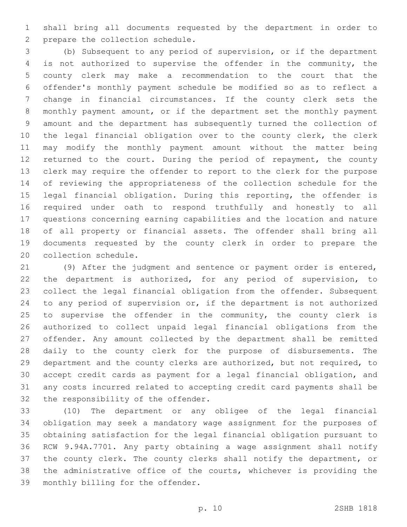shall bring all documents requested by the department in order to 2 prepare the collection schedule.

 (b) Subsequent to any period of supervision, or if the department is not authorized to supervise the offender in the community, the county clerk may make a recommendation to the court that the offender's monthly payment schedule be modified so as to reflect a change in financial circumstances. If the county clerk sets the monthly payment amount, or if the department set the monthly payment amount and the department has subsequently turned the collection of the legal financial obligation over to the county clerk, the clerk may modify the monthly payment amount without the matter being 12 returned to the court. During the period of repayment, the county clerk may require the offender to report to the clerk for the purpose of reviewing the appropriateness of the collection schedule for the legal financial obligation. During this reporting, the offender is required under oath to respond truthfully and honestly to all questions concerning earning capabilities and the location and nature of all property or financial assets. The offender shall bring all documents requested by the county clerk in order to prepare the 20 collection schedule.

 (9) After the judgment and sentence or payment order is entered, the department is authorized, for any period of supervision, to collect the legal financial obligation from the offender. Subsequent to any period of supervision or, if the department is not authorized 25 to supervise the offender in the community, the county clerk is authorized to collect unpaid legal financial obligations from the offender. Any amount collected by the department shall be remitted daily to the county clerk for the purpose of disbursements. The department and the county clerks are authorized, but not required, to accept credit cards as payment for a legal financial obligation, and any costs incurred related to accepting credit card payments shall be 32 the responsibility of the offender.

 (10) The department or any obligee of the legal financial obligation may seek a mandatory wage assignment for the purposes of obtaining satisfaction for the legal financial obligation pursuant to RCW 9.94A.7701. Any party obtaining a wage assignment shall notify the county clerk. The county clerks shall notify the department, or the administrative office of the courts, whichever is providing the 39 monthly billing for the offender.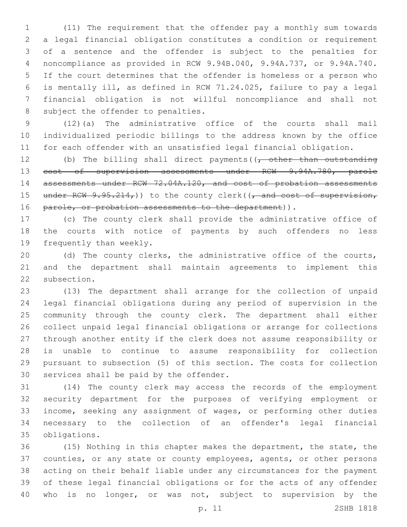(11) The requirement that the offender pay a monthly sum towards a legal financial obligation constitutes a condition or requirement of a sentence and the offender is subject to the penalties for noncompliance as provided in RCW 9.94B.040, 9.94A.737, or 9.94A.740. If the court determines that the offender is homeless or a person who is mentally ill, as defined in RCW 71.24.025, failure to pay a legal financial obligation is not willful noncompliance and shall not 8 subject the offender to penalties.

 (12)(a) The administrative office of the courts shall mail individualized periodic billings to the address known by the office for each offender with an unsatisfied legal financial obligation.

12 (b) The billing shall direct payments  $(1, -0)$  other than outstanding cost of supervision assessments under RCW 9.94A.780, parole 14 assessments under RCW 72.04A.120, and cost of probation assessments 15 under RCW  $9.95.214<sub>r</sub>$ )) to the county clerk(( $\frac{1}{r}$  and cost of supervision, 16 parole, or probation assessments to the department)).

 (c) The county clerk shall provide the administrative office of the courts with notice of payments by such offenders no less 19 frequently than weekly.

 (d) The county clerks, the administrative office of the courts, and the department shall maintain agreements to implement this 22 subsection.

 (13) The department shall arrange for the collection of unpaid legal financial obligations during any period of supervision in the community through the county clerk. The department shall either collect unpaid legal financial obligations or arrange for collections through another entity if the clerk does not assume responsibility or is unable to continue to assume responsibility for collection pursuant to subsection (5) of this section. The costs for collection 30 services shall be paid by the offender.

 (14) The county clerk may access the records of the employment security department for the purposes of verifying employment or income, seeking any assignment of wages, or performing other duties necessary to the collection of an offender's legal financial obligations.35

 (15) Nothing in this chapter makes the department, the state, the counties, or any state or county employees, agents, or other persons acting on their behalf liable under any circumstances for the payment of these legal financial obligations or for the acts of any offender who is no longer, or was not, subject to supervision by the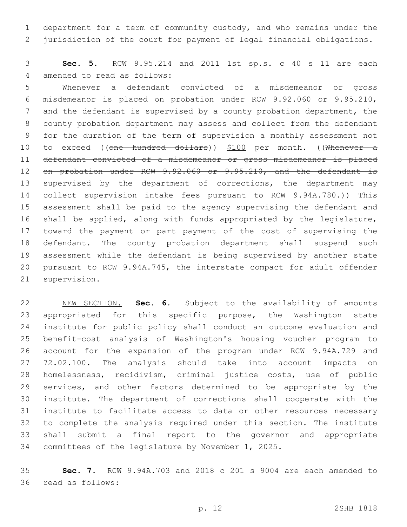department for a term of community custody, and who remains under the jurisdiction of the court for payment of legal financial obligations.

 **Sec. 5.** RCW 9.95.214 and 2011 1st sp.s. c 40 s 11 are each 4 amended to read as follows:

 Whenever a defendant convicted of a misdemeanor or gross misdemeanor is placed on probation under RCW 9.92.060 or 9.95.210, and the defendant is supervised by a county probation department, the county probation department may assess and collect from the defendant for the duration of the term of supervision a monthly assessment not 10 to exceed ((one hundred dollars)) \$100 per month. ((Whenever a defendant convicted of a misdemeanor or gross misdemeanor is placed 12 on probation under RCW 9.92.060 or 9.95.210, and the defendant is 13 supervised by the department of corrections, the department may 14 collect supervision intake fees pursuant to RCW 9.94A.780.)) This assessment shall be paid to the agency supervising the defendant and shall be applied, along with funds appropriated by the legislature, toward the payment or part payment of the cost of supervising the defendant. The county probation department shall suspend such assessment while the defendant is being supervised by another state pursuant to RCW 9.94A.745, the interstate compact for adult offender 21 supervision.

 NEW SECTION. **Sec. 6.** Subject to the availability of amounts 23 appropriated for this specific purpose, the Washington state institute for public policy shall conduct an outcome evaluation and benefit-cost analysis of Washington's housing voucher program to account for the expansion of the program under RCW 9.94A.729 and 72.02.100. The analysis should take into account impacts on homelessness, recidivism, criminal justice costs, use of public services, and other factors determined to be appropriate by the institute. The department of corrections shall cooperate with the institute to facilitate access to data or other resources necessary to complete the analysis required under this section. The institute shall submit a final report to the governor and appropriate committees of the legislature by November 1, 2025.

 **Sec. 7.** RCW 9.94A.703 and 2018 c 201 s 9004 are each amended to 36 read as follows: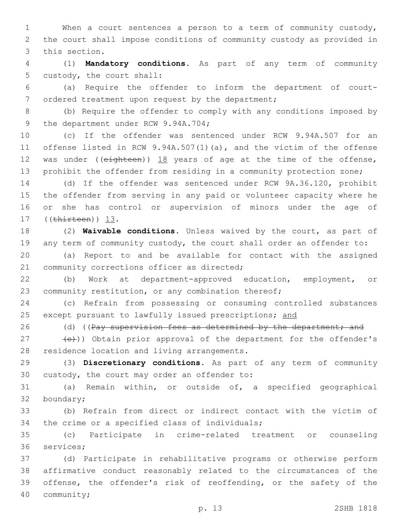1 When a court sentences a person to a term of community custody, 2 the court shall impose conditions of community custody as provided in 3 this section.

4 (1) **Mandatory conditions.** As part of any term of community 5 custody, the court shall:

6 (a) Require the offender to inform the department of court-7 ordered treatment upon request by the department;

8 (b) Require the offender to comply with any conditions imposed by 9 the department under RCW 9.94A.704;

 (c) If the offender was sentenced under RCW 9.94A.507 for an offense listed in RCW 9.94A.507(1)(a), and the victim of the offense 12 was under ((eighteen)) 18 years of age at the time of the offense, prohibit the offender from residing in a community protection zone;

 (d) If the offender was sentenced under RCW 9A.36.120, prohibit the offender from serving in any paid or volunteer capacity where he or she has control or supervision of minors under the age of 17 ((thirteen)) 13.

18 (2) **Waivable conditions.** Unless waived by the court, as part of 19 any term of community custody, the court shall order an offender to:

20 (a) Report to and be available for contact with the assigned 21 community corrections officer as directed;

22 (b) Work at department-approved education, employment, or 23 community restitution, or any combination thereof;

24 (c) Refrain from possessing or consuming controlled substances 25 except pursuant to lawfully issued prescriptions; and

26 (d) ((Pay supervision fees as determined by the department; and

27 (e))) Obtain prior approval of the department for the offender's 28 residence location and living arrangements.

29 (3) **Discretionary conditions.** As part of any term of community 30 custody, the court may order an offender to:

31 (a) Remain within, or outside of, a specified geographical 32 boundary;

33 (b) Refrain from direct or indirect contact with the victim of 34 the crime or a specified class of individuals;

35 (c) Participate in crime-related treatment or counseling 36 services;

 (d) Participate in rehabilitative programs or otherwise perform affirmative conduct reasonably related to the circumstances of the offense, the offender's risk of reoffending, or the safety of the 40 community;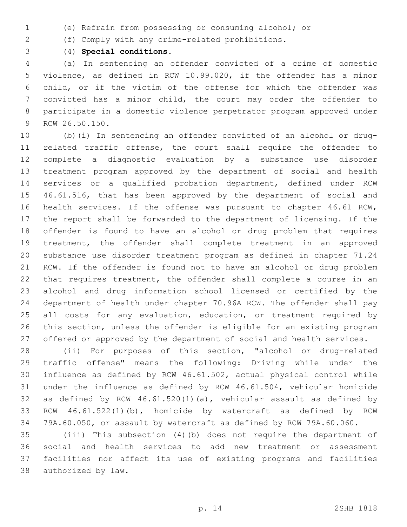- (e) Refrain from possessing or consuming alcohol; or
- (f) Comply with any crime-related prohibitions.
- 

(4) **Special conditions.**

 (a) In sentencing an offender convicted of a crime of domestic violence, as defined in RCW 10.99.020, if the offender has a minor child, or if the victim of the offense for which the offender was convicted has a minor child, the court may order the offender to participate in a domestic violence perpetrator program approved under 9 RCW 26.50.150.

 (b)(i) In sentencing an offender convicted of an alcohol or drug- related traffic offense, the court shall require the offender to complete a diagnostic evaluation by a substance use disorder treatment program approved by the department of social and health services or a qualified probation department, defined under RCW 46.61.516, that has been approved by the department of social and health services. If the offense was pursuant to chapter 46.61 RCW, the report shall be forwarded to the department of licensing. If the offender is found to have an alcohol or drug problem that requires treatment, the offender shall complete treatment in an approved substance use disorder treatment program as defined in chapter 71.24 RCW. If the offender is found not to have an alcohol or drug problem that requires treatment, the offender shall complete a course in an alcohol and drug information school licensed or certified by the department of health under chapter 70.96A RCW. The offender shall pay 25 all costs for any evaluation, education, or treatment required by this section, unless the offender is eligible for an existing program offered or approved by the department of social and health services.

 (ii) For purposes of this section, "alcohol or drug-related traffic offense" means the following: Driving while under the influence as defined by RCW 46.61.502, actual physical control while under the influence as defined by RCW 46.61.504, vehicular homicide as defined by RCW 46.61.520(1)(a), vehicular assault as defined by RCW 46.61.522(1)(b), homicide by watercraft as defined by RCW 79A.60.050, or assault by watercraft as defined by RCW 79A.60.060.

 (iii) This subsection (4)(b) does not require the department of social and health services to add new treatment or assessment facilities nor affect its use of existing programs and facilities 38 authorized by law.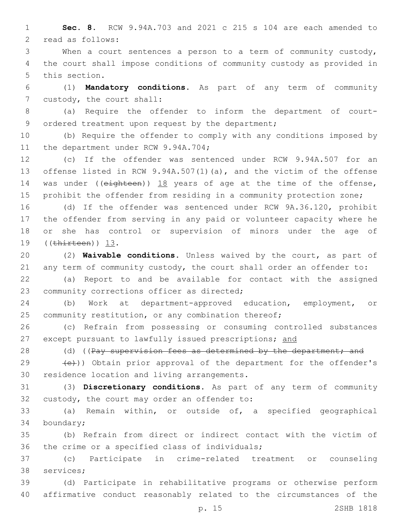1 **Sec. 8.** RCW 9.94A.703 and 2021 c 215 s 104 are each amended to 2 read as follows:

3 When a court sentences a person to a term of community custody, 4 the court shall impose conditions of community custody as provided in 5 this section.

6 (1) **Mandatory conditions.** As part of any term of community 7 custody, the court shall:

8 (a) Require the offender to inform the department of court-9 ordered treatment upon request by the department;

10 (b) Require the offender to comply with any conditions imposed by 11 the department under RCW 9.94A.704;

 (c) If the offender was sentenced under RCW 9.94A.507 for an offense listed in RCW 9.94A.507(1)(a), and the victim of the offense 14 was under ((eighteen)) 18 years of age at the time of the offense, prohibit the offender from residing in a community protection zone;

 (d) If the offender was sentenced under RCW 9A.36.120, prohibit the offender from serving in any paid or volunteer capacity where he or she has control or supervision of minors under the age of 19 ((thirteen)) 13.

20 (2) **Waivable conditions.** Unless waived by the court, as part of 21 any term of community custody, the court shall order an offender to:

22 (a) Report to and be available for contact with the assigned 23 community corrections officer as directed;

24 (b) Work at department-approved education, employment, or 25 community restitution, or any combination thereof;

26 (c) Refrain from possessing or consuming controlled substances 27 except pursuant to lawfully issued prescriptions; and

28 (d) ((Pay supervision fees as determined by the department; and

29  $(e)$ )) Obtain prior approval of the department for the offender's 30 residence location and living arrangements.

31 (3) **Discretionary conditions.** As part of any term of community 32 custody, the court may order an offender to:

33 (a) Remain within, or outside of, a specified geographical 34 boundary;

35 (b) Refrain from direct or indirect contact with the victim of 36 the crime or a specified class of individuals;

37 (c) Participate in crime-related treatment or counseling 38 services;

39 (d) Participate in rehabilitative programs or otherwise perform 40 affirmative conduct reasonably related to the circumstances of the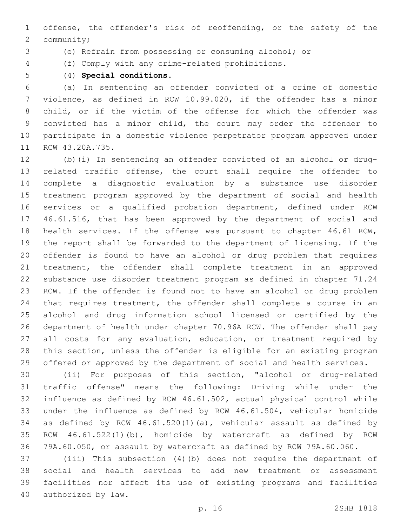offense, the offender's risk of reoffending, or the safety of the 2 community;

(e) Refrain from possessing or consuming alcohol; or

- (f) Comply with any crime-related prohibitions.
- 

(4) **Special conditions.**

 (a) In sentencing an offender convicted of a crime of domestic violence, as defined in RCW 10.99.020, if the offender has a minor child, or if the victim of the offense for which the offender was convicted has a minor child, the court may order the offender to participate in a domestic violence perpetrator program approved under 11 RCW 43.20A.735.

 (b)(i) In sentencing an offender convicted of an alcohol or drug- related traffic offense, the court shall require the offender to complete a diagnostic evaluation by a substance use disorder treatment program approved by the department of social and health services or a qualified probation department, defined under RCW 46.61.516, that has been approved by the department of social and health services. If the offense was pursuant to chapter 46.61 RCW, the report shall be forwarded to the department of licensing. If the offender is found to have an alcohol or drug problem that requires treatment, the offender shall complete treatment in an approved substance use disorder treatment program as defined in chapter 71.24 RCW. If the offender is found not to have an alcohol or drug problem that requires treatment, the offender shall complete a course in an alcohol and drug information school licensed or certified by the department of health under chapter 70.96A RCW. The offender shall pay 27 all costs for any evaluation, education, or treatment required by this section, unless the offender is eligible for an existing program offered or approved by the department of social and health services.

 (ii) For purposes of this section, "alcohol or drug-related traffic offense" means the following: Driving while under the influence as defined by RCW 46.61.502, actual physical control while under the influence as defined by RCW 46.61.504, vehicular homicide as defined by RCW 46.61.520(1)(a), vehicular assault as defined by RCW 46.61.522(1)(b), homicide by watercraft as defined by RCW 79A.60.050, or assault by watercraft as defined by RCW 79A.60.060.

 (iii) This subsection (4)(b) does not require the department of social and health services to add new treatment or assessment facilities nor affect its use of existing programs and facilities 40 authorized by law.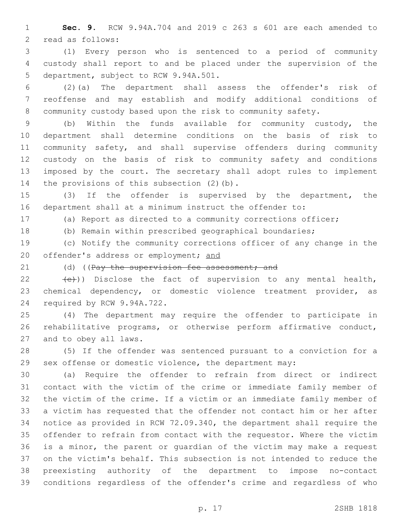**Sec. 9.** RCW 9.94A.704 and 2019 c 263 s 601 are each amended to 2 read as follows:

 (1) Every person who is sentenced to a period of community custody shall report to and be placed under the supervision of the 5 department, subject to RCW 9.94A.501.

 (2)(a) The department shall assess the offender's risk of reoffense and may establish and modify additional conditions of community custody based upon the risk to community safety.

 (b) Within the funds available for community custody, the department shall determine conditions on the basis of risk to community safety, and shall supervise offenders during community custody on the basis of risk to community safety and conditions imposed by the court. The secretary shall adopt rules to implement 14 the provisions of this subsection (2)(b).

 (3) If the offender is supervised by the department, the department shall at a minimum instruct the offender to:

(a) Report as directed to a community corrections officer;

(b) Remain within prescribed geographical boundaries;

 (c) Notify the community corrections officer of any change in the 20 offender's address or employment; and

21 (d) ((Pay the supervision fee assessment; and

22  $(e)$ )) Disclose the fact of supervision to any mental health, chemical dependency, or domestic violence treatment provider, as 24 required by RCW 9.94A.722.

 (4) The department may require the offender to participate in rehabilitative programs, or otherwise perform affirmative conduct, 27 and to obey all laws.

 (5) If the offender was sentenced pursuant to a conviction for a sex offense or domestic violence, the department may:

 (a) Require the offender to refrain from direct or indirect contact with the victim of the crime or immediate family member of the victim of the crime. If a victim or an immediate family member of a victim has requested that the offender not contact him or her after notice as provided in RCW 72.09.340, the department shall require the offender to refrain from contact with the requestor. Where the victim is a minor, the parent or guardian of the victim may make a request on the victim's behalf. This subsection is not intended to reduce the preexisting authority of the department to impose no-contact conditions regardless of the offender's crime and regardless of who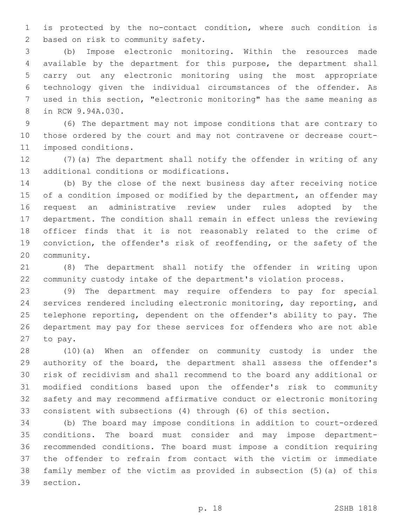is protected by the no-contact condition, where such condition is 2 based on risk to community safety.

 (b) Impose electronic monitoring. Within the resources made available by the department for this purpose, the department shall carry out any electronic monitoring using the most appropriate technology given the individual circumstances of the offender. As used in this section, "electronic monitoring" has the same meaning as 8 in RCW 9.94A.030.

 (6) The department may not impose conditions that are contrary to those ordered by the court and may not contravene or decrease court-11 imposed conditions.

 (7)(a) The department shall notify the offender in writing of any 13 additional conditions or modifications.

 (b) By the close of the next business day after receiving notice 15 of a condition imposed or modified by the department, an offender may request an administrative review under rules adopted by the department. The condition shall remain in effect unless the reviewing officer finds that it is not reasonably related to the crime of conviction, the offender's risk of reoffending, or the safety of the 20 community.

 (8) The department shall notify the offender in writing upon community custody intake of the department's violation process.

 (9) The department may require offenders to pay for special services rendered including electronic monitoring, day reporting, and telephone reporting, dependent on the offender's ability to pay. The department may pay for these services for offenders who are not able 27 to pay.

 (10)(a) When an offender on community custody is under the authority of the board, the department shall assess the offender's risk of recidivism and shall recommend to the board any additional or modified conditions based upon the offender's risk to community safety and may recommend affirmative conduct or electronic monitoring consistent with subsections (4) through (6) of this section.

 (b) The board may impose conditions in addition to court-ordered conditions. The board must consider and may impose department- recommended conditions. The board must impose a condition requiring the offender to refrain from contact with the victim or immediate family member of the victim as provided in subsection (5)(a) of this 39 section.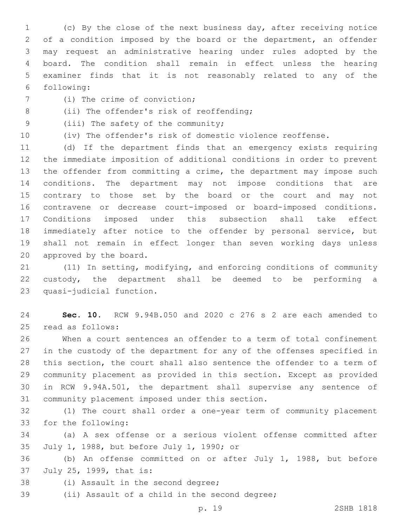(c) By the close of the next business day, after receiving notice of a condition imposed by the board or the department, an offender may request an administrative hearing under rules adopted by the board. The condition shall remain in effect unless the hearing examiner finds that it is not reasonably related to any of the following:6

- 7 (i) The crime of conviction;
- 8 (ii) The offender's risk of reoffending;
- 9 (iii) The safety of the community;
- 

(iv) The offender's risk of domestic violence reoffense.

 (d) If the department finds that an emergency exists requiring the immediate imposition of additional conditions in order to prevent the offender from committing a crime, the department may impose such conditions. The department may not impose conditions that are contrary to those set by the board or the court and may not contravene or decrease court-imposed or board-imposed conditions. Conditions imposed under this subsection shall take effect immediately after notice to the offender by personal service, but shall not remain in effect longer than seven working days unless 20 approved by the board.

 (11) In setting, modifying, and enforcing conditions of community custody, the department shall be deemed to be performing a 23 quasi-judicial function.

 **Sec. 10.** RCW 9.94B.050 and 2020 c 276 s 2 are each amended to 25 read as follows:

 When a court sentences an offender to a term of total confinement in the custody of the department for any of the offenses specified in this section, the court shall also sentence the offender to a term of community placement as provided in this section. Except as provided in RCW 9.94A.501, the department shall supervise any sentence of 31 community placement imposed under this section.

 (1) The court shall order a one-year term of community placement 33 for the following:

 (a) A sex offense or a serious violent offense committed after 35 July 1, 1988, but before July 1, 1990; or

 (b) An offense committed on or after July 1, 1988, but before 37 July 25, 1999, that is:

- 38 (i) Assault in the second degree;
- 39 (ii) Assault of a child in the second degree;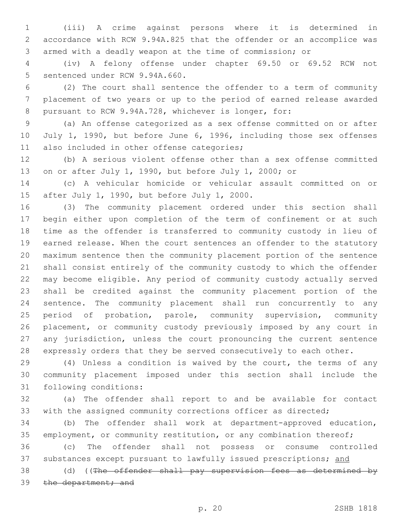(iii) A crime against persons where it is determined in accordance with RCW 9.94A.825 that the offender or an accomplice was armed with a deadly weapon at the time of commission; or

 (iv) A felony offense under chapter 69.50 or 69.52 RCW not 5 sentenced under RCW 9.94A.660.

 (2) The court shall sentence the offender to a term of community placement of two years or up to the period of earned release awarded pursuant to RCW 9.94A.728, whichever is longer, for:

 (a) An offense categorized as a sex offense committed on or after 10 July 1, 1990, but before June 6, 1996, including those sex offenses 11 also included in other offense categories;

 (b) A serious violent offense other than a sex offense committed on or after July 1, 1990, but before July 1, 2000; or

 (c) A vehicular homicide or vehicular assault committed on or 15 after July 1, 1990, but before July 1, 2000.

 (3) The community placement ordered under this section shall begin either upon completion of the term of confinement or at such time as the offender is transferred to community custody in lieu of earned release. When the court sentences an offender to the statutory maximum sentence then the community placement portion of the sentence shall consist entirely of the community custody to which the offender may become eligible. Any period of community custody actually served shall be credited against the community placement portion of the sentence. The community placement shall run concurrently to any period of probation, parole, community supervision, community placement, or community custody previously imposed by any court in any jurisdiction, unless the court pronouncing the current sentence expressly orders that they be served consecutively to each other.

 (4) Unless a condition is waived by the court, the terms of any community placement imposed under this section shall include the 31 following conditions:

 (a) The offender shall report to and be available for contact with the assigned community corrections officer as directed;

 (b) The offender shall work at department-approved education, 35 employment, or community restitution, or any combination thereof;

 (c) The offender shall not possess or consume controlled 37 substances except pursuant to lawfully issued prescriptions; and

38 (d) ((The offender shall pay supervision fees as determined by 39 the department; and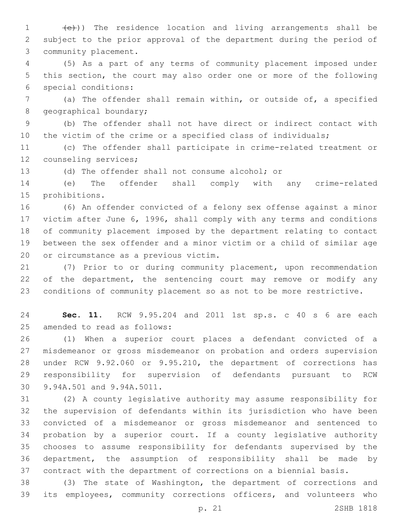1 (e)) The residence location and living arrangements shall be subject to the prior approval of the department during the period of 3 community placement.

 (5) As a part of any terms of community placement imposed under this section, the court may also order one or more of the following 6 special conditions:

 (a) The offender shall remain within, or outside of, a specified 8 geographical boundary;

 (b) The offender shall not have direct or indirect contact with the victim of the crime or a specified class of individuals;

 (c) The offender shall participate in crime-related treatment or 12 counseling services;

(d) The offender shall not consume alcohol; or

 (e) The offender shall comply with any crime-related 15 prohibitions.

 (6) An offender convicted of a felony sex offense against a minor victim after June 6, 1996, shall comply with any terms and conditions of community placement imposed by the department relating to contact between the sex offender and a minor victim or a child of similar age 20 or circumstance as a previous victim.

 (7) Prior to or during community placement, upon recommendation 22 of the department, the sentencing court may remove or modify any conditions of community placement so as not to be more restrictive.

 **Sec. 11.** RCW 9.95.204 and 2011 1st sp.s. c 40 s 6 are each 25 amended to read as follows:

 (1) When a superior court places a defendant convicted of a misdemeanor or gross misdemeanor on probation and orders supervision under RCW 9.92.060 or 9.95.210, the department of corrections has responsibility for supervision of defendants pursuant to RCW 30 9.94A.501 and 9.94A.5011.

 (2) A county legislative authority may assume responsibility for the supervision of defendants within its jurisdiction who have been convicted of a misdemeanor or gross misdemeanor and sentenced to probation by a superior court. If a county legislative authority chooses to assume responsibility for defendants supervised by the department, the assumption of responsibility shall be made by contract with the department of corrections on a biennial basis.

 (3) The state of Washington, the department of corrections and its employees, community corrections officers, and volunteers who

p. 21 2SHB 1818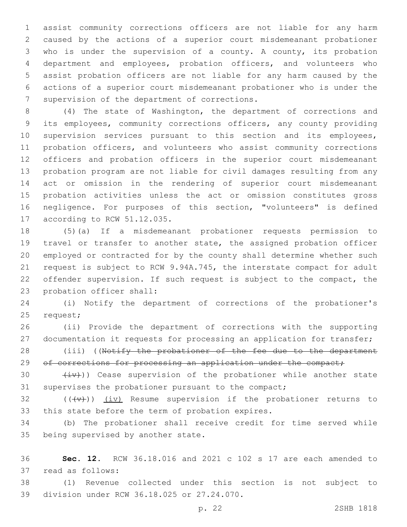assist community corrections officers are not liable for any harm caused by the actions of a superior court misdemeanant probationer who is under the supervision of a county. A county, its probation department and employees, probation officers, and volunteers who assist probation officers are not liable for any harm caused by the actions of a superior court misdemeanant probationer who is under the 7 supervision of the department of corrections.

 (4) The state of Washington, the department of corrections and its employees, community corrections officers, any county providing supervision services pursuant to this section and its employees, probation officers, and volunteers who assist community corrections officers and probation officers in the superior court misdemeanant probation program are not liable for civil damages resulting from any act or omission in the rendering of superior court misdemeanant probation activities unless the act or omission constitutes gross negligence. For purposes of this section, "volunteers" is defined 17 according to RCW 51.12.035.

 (5)(a) If a misdemeanant probationer requests permission to travel or transfer to another state, the assigned probation officer employed or contracted for by the county shall determine whether such request is subject to RCW 9.94A.745, the interstate compact for adult offender supervision. If such request is subject to the compact, the 23 probation officer shall:

 (i) Notify the department of corrections of the probationer's 25 request;

 (ii) Provide the department of corrections with the supporting documentation it requests for processing an application for transfer;

28 (iii) ((Notify the probationer of the fee due to the department 29 of corrections for processing an application under the compact;

30  $(iv)$ ) Cease supervision of the probationer while another state supervises the probationer pursuant to the compact;

32  $((+\nu)^2)$   $(i\nu)$  Resume supervision if the probationer returns to 33 this state before the term of probation expires.

 (b) The probationer shall receive credit for time served while 35 being supervised by another state.

 **Sec. 12.** RCW 36.18.016 and 2021 c 102 s 17 are each amended to 37 read as follows:

 (1) Revenue collected under this section is not subject to 39 division under RCW 36.18.025 or 27.24.070.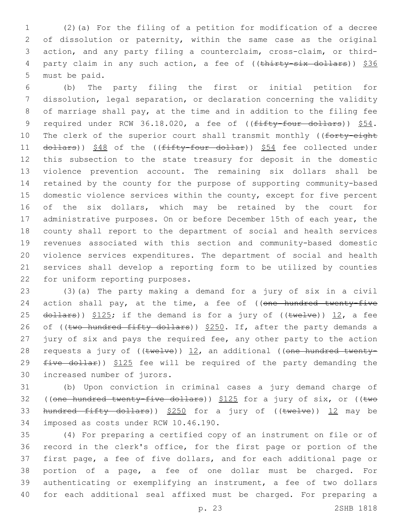1 (2)(a) For the filing of a petition for modification of a decree 2 of dissolution or paternity, within the same case as the original 3 action, and any party filing a counterclaim, cross-claim, or third-4 party claim in any such action, a fee of ((thirty-six dollars)) \$36 5 must be paid.

 (b) The party filing the first or initial petition for dissolution, legal separation, or declaration concerning the validity of marriage shall pay, at the time and in addition to the filing fee 9 required under RCW 36.18.020, a fee of ((fifty-four dollars)) \$54. 10 The clerk of the superior court shall transmit monthly ((forty-eight 11 dollars)) \$48 of the ((fifty-four dollar)) \$54 fee collected under this subsection to the state treasury for deposit in the domestic violence prevention account. The remaining six dollars shall be retained by the county for the purpose of supporting community-based domestic violence services within the county, except for five percent of the six dollars, which may be retained by the court for 17 administrative purposes. On or before December 15th of each year, the county shall report to the department of social and health services revenues associated with this section and community-based domestic violence services expenditures. The department of social and health services shall develop a reporting form to be utilized by counties 22 for uniform reporting purposes.

23 (3)(a) The party making a demand for a jury of six in a civil 24 action shall pay, at the time, a fee of ((one hundred twenty-five 25  $d$ ollars))  $$125;$  if the demand is for a jury of (( $t$ welve)) 12, a fee 26 of ((two hundred fifty dollars)) \$250. If, after the party demands a 27 jury of six and pays the required fee, any other party to the action 28 requests a jury of  $((\text{twelve}))$  12, an additional ((one hundred twenty-29  $five$  dollar))  $$125$  fee will be required of the party demanding the 30 increased number of jurors.

31 (b) Upon conviction in criminal cases a jury demand charge of 32 ((one hundred twenty-five dollars)) \$125 for a jury of six, or ((two 33 hundred fifty dollars)) \$250 for a jury of ((twelve)) 12 may be 34 imposed as costs under RCW 10.46.190.

 (4) For preparing a certified copy of an instrument on file or of record in the clerk's office, for the first page or portion of the first page, a fee of five dollars, and for each additional page or portion of a page, a fee of one dollar must be charged. For authenticating or exemplifying an instrument, a fee of two dollars for each additional seal affixed must be charged. For preparing a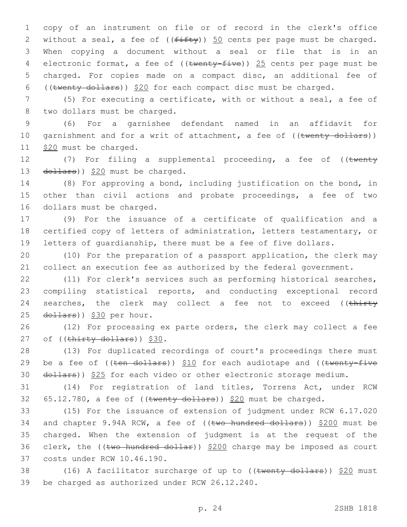copy of an instrument on file or of record in the clerk's office 2 without a seal, a fee of  $((f\text{iff}\psi))$  50 cents per page must be charged. When copying a document without a seal or file that is in an 4 electronic format, a fee of ((twenty-five)) 25 cents per page must be charged. For copies made on a compact disc, an additional fee of ((twenty dollars)) \$20 for each compact disc must be charged.

7 (5) For executing a certificate, with or without a seal, a fee of 8 two dollars must be charged.

9 (6) For a garnishee defendant named in an affidavit for 10 garnishment and for a writ of attachment, a fee of ((twenty dollars)) 11 \$20 must be charged.

12 (7) For filing a supplemental proceeding, a fee of ((twenty 13  $\left(\frac{d^2}{2} + \frac{d^2}{2} + \frac{d^2}{2}\right)$  and the charged.

14 (8) For approving a bond, including justification on the bond, in 15 other than civil actions and probate proceedings, a fee of two 16 dollars must be charged.

17 (9) For the issuance of a certificate of qualification and a 18 certified copy of letters of administration, letters testamentary, or 19 letters of guardianship, there must be a fee of five dollars.

20 (10) For the preparation of a passport application, the clerk may 21 collect an execution fee as authorized by the federal government.

22 (11) For clerk's services such as performing historical searches, 23 compiling statistical reports, and conducting exceptional record 24 searches, the clerk may collect a fee not to exceed ((thirty 25 dollars)) \$30 per hour.

26 (12) For processing ex parte orders, the clerk may collect a fee 27 of  $((\text{thirty dollars}))$  \$30.

28 (13) For duplicated recordings of court's proceedings there must 29 be a fee of  $((\text{ten}-\text{dollars}))$  \$10 for each audiotape and  $((\text{twenty-five}-\text{fivex}))$ 30 dollars)) \$25 for each video or other electronic storage medium.

31 (14) For registration of land titles, Torrens Act, under RCW 32  $65.12.780$ , a fee of ((twenty dollars)) \$20 must be charged.

33 (15) For the issuance of extension of judgment under RCW 6.17.020 34 and chapter 9.94A RCW, a fee of ((two hundred dollars)) \$200 must be 35 charged. When the extension of judgment is at the request of the 36 clerk, the (( $t$ wo hundred dollar))  $$200$  charge may be imposed as court 37 costs under RCW 10.46.190.

38 (16) A facilitator surcharge of up to  $((\text{twenty dollars}))$  \$20 must 39 be charged as authorized under RCW 26.12.240.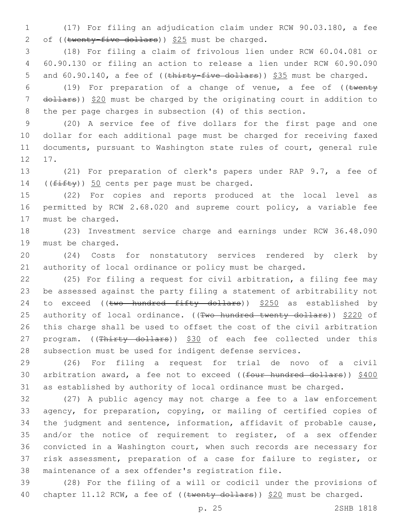(17) For filing an adjudication claim under RCW 90.03.180, a fee 2 of (( $\text{twenty-five dollars}$ ))  $$25$  must be charged.

 (18) For filing a claim of frivolous lien under RCW 60.04.081 or 60.90.130 or filing an action to release a lien under RCW 60.90.090 5 and 60.90.140, a fee of ((thirty-five dollars)) \$35 must be charged.

6 (19) For preparation of a change of venue, a fee of  $($  (twenty 7 dollars)) \$20 must be charged by the originating court in addition to the per page charges in subsection (4) of this section.

 (20) A service fee of five dollars for the first page and one dollar for each additional page must be charged for receiving faxed documents, pursuant to Washington state rules of court, general rule 12 17.

 (21) For preparation of clerk's papers under RAP 9.7, a fee of 14  $((f\text{ifty}))$  50 cents per page must be charged.

 (22) For copies and reports produced at the local level as permitted by RCW 2.68.020 and supreme court policy, a variable fee 17 must be charged.

 (23) Investment service charge and earnings under RCW 36.48.090 19 must be charged.

 (24) Costs for nonstatutory services rendered by clerk by authority of local ordinance or policy must be charged.

 (25) For filing a request for civil arbitration, a filing fee may be assessed against the party filing a statement of arbitrability not 24 to exceed (( $t$ wo hundred fifty dollars))  $$250$  as established by 25 authority of local ordinance. ((Two hundred twenty dollars)) \$220 of this charge shall be used to offset the cost of the civil arbitration 27 program. ((Thirty dollars)) \$30 of each fee collected under this subsection must be used for indigent defense services.

 (26) For filing a request for trial de novo of a civil 30 arbitration award, a fee not to exceed ((four hundred dollars)) \$400 as established by authority of local ordinance must be charged.

 (27) A public agency may not charge a fee to a law enforcement agency, for preparation, copying, or mailing of certified copies of the judgment and sentence, information, affidavit of probable cause, and/or the notice of requirement to register, of a sex offender convicted in a Washington court, when such records are necessary for risk assessment, preparation of a case for failure to register, or maintenance of a sex offender's registration file.

 (28) For the filing of a will or codicil under the provisions of 40 chapter 11.12 RCW, a fee of ((twenty dollars)) \$20 must be charged.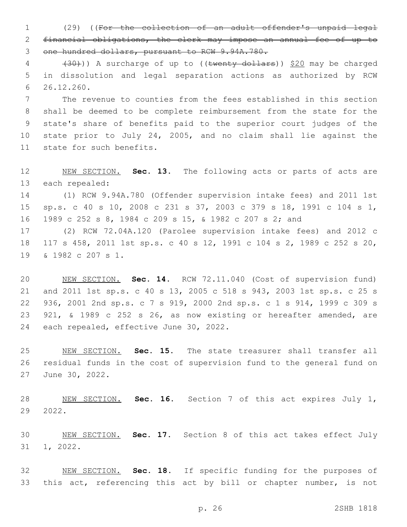(29) ((For the collection of an adult offender's unpaid legal financial obligations, the clerk may impose an annual fee of up to one hundred dollars, pursuant to RCW 9.94A.780.

 $(30)$ )) A surcharge of up to ((twenty dollars)) \$20 may be charged in dissolution and legal separation actions as authorized by RCW 26.12.260.6

 The revenue to counties from the fees established in this section shall be deemed to be complete reimbursement from the state for the state's share of benefits paid to the superior court judges of the state prior to July 24, 2005, and no claim shall lie against the 11 state for such benefits.

 NEW SECTION. **Sec. 13.** The following acts or parts of acts are each repealed:

 (1) RCW 9.94A.780 (Offender supervision intake fees) and 2011 1st sp.s. c 40 s 10, 2008 c 231 s 37, 2003 c 379 s 18, 1991 c 104 s 1, 1989 c 252 s 8, 1984 c 209 s 15, & 1982 c 207 s 2; and

 (2) RCW 72.04A.120 (Parolee supervision intake fees) and 2012 c 117 s 458, 2011 1st sp.s. c 40 s 12, 1991 c 104 s 2, 1989 c 252 s 20, 19 & 1982 c 207 s 1.

 NEW SECTION. **Sec. 14.** RCW 72.11.040 (Cost of supervision fund) and 2011 1st sp.s. c 40 s 13, 2005 c 518 s 943, 2003 1st sp.s. c 25 s 936, 2001 2nd sp.s. c 7 s 919, 2000 2nd sp.s. c 1 s 914, 1999 c 309 s 921, & 1989 c 252 s 26, as now existing or hereafter amended, are each repealed, effective June 30, 2022.

 NEW SECTION. **Sec. 15.** The state treasurer shall transfer all residual funds in the cost of supervision fund to the general fund on June 30, 2022.

 NEW SECTION. **Sec. 16.** Section 7 of this act expires July 1, 2022.

 NEW SECTION. **Sec. 17.** Section 8 of this act takes effect July 1, 2022.

 NEW SECTION. **Sec. 18.** If specific funding for the purposes of this act, referencing this act by bill or chapter number, is not

p. 26 2SHB 1818